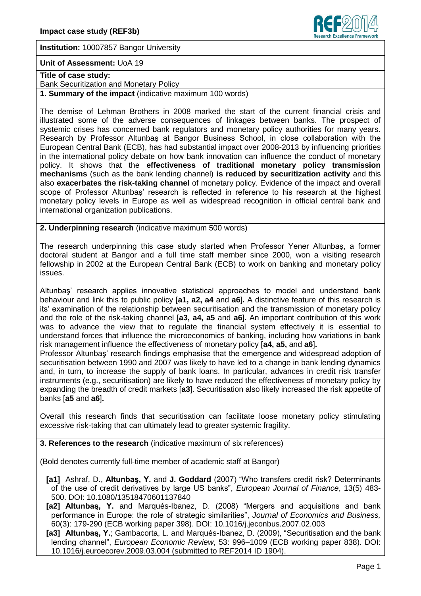

**Institution:** 10007857 Bangor University

## **Unit of Assessment:** UoA 19

**Title of case study:** 

Bank Securitization and Monetary Policy

**1. Summary of the impact** (indicative maximum 100 words)

The demise of Lehman Brothers in 2008 marked the start of the current financial crisis and illustrated some of the adverse consequences of linkages between banks. The prospect of systemic crises has concerned bank regulators and monetary policy authorities for many years. Research by Professor Altunbaş at Bangor Business School, in close collaboration with the European Central Bank (ECB), has had substantial impact over 2008-2013 by influencing priorities in the international policy debate on how bank innovation can influence the conduct of monetary policy. It shows that the **effectiveness of traditional monetary policy transmission mechanisms** (such as the bank lending channel) **is reduced by securitization activity** and this also **exacerbates the risk-taking channel** of monetary policy. Evidence of the impact and overall scope of Professor Altunbaş' research is reflected in reference to his research at the highest monetary policy levels in Europe as well as widespread recognition in official central bank and international organization publications.

**2. Underpinning research** (indicative maximum 500 words)

The research underpinning this case study started when Professor Yener Altunbaş, a former doctoral student at Bangor and a full time staff member since 2000, won a visiting research fellowship in 2002 at the European Central Bank (ECB) to work on banking and monetary policy issues.

Altunbaş' research applies innovative statistical approaches to model and understand bank behaviour and link this to public policy [**a1, a2, a4** and **a6**]**.** A distinctive feature of this research is its' examination of the relationship between securitisation and the transmission of monetary policy and the role of the risk-taking channel [**a3, a4, a5** and **a6**]**.** An important contribution of this work was to advance the view that to regulate the financial system effectively it is essential to understand forces that influence the microeconomics of banking, including how variations in bank risk management influence the effectiveness of monetary policy [**a4, a5,** and **a6**]**.**

Professor Altunbaş' research findings emphasise that the emergence and widespread adoption of securitisation between 1990 and 2007 was likely to have led to a change in bank lending dynamics and, in turn, to increase the supply of bank loans. In particular, advances in credit risk transfer instruments (e.g., securitisation) are likely to have reduced the effectiveness of monetary policy by expanding the breadth of credit markets [**a3**]. Securitisation also likely increased the risk appetite of banks [**a5** and **a6**]**.**

Overall this research finds that securitisation can facilitate loose monetary policy stimulating excessive risk-taking that can ultimately lead to greater systemic fragility.

**3. References to the research** (indicative maximum of six references)

(Bold denotes currently full-time member of academic staff at Bangor)

- **[a1]** Ashraf, D., **Altunbaş, Y.** and **J. Goddard** (2007) "Who transfers credit risk? Determinants of the use of credit derivatives by large US banks", *European Journal of Finance*, 13(5) 483- 500. DOI: 10.1080/13518470601137840
- **[a2] Altunbaş, Y.** and Marqués-Ibanez, D. (2008) "Mergers and acquisitions and bank performance in Europe: the role of strategic similarities", *Journal of Economics and Business,*  60(3): 179-290 (ECB working paper 398). DOI: 10.1016/j.jeconbus.2007.02.003
- **[a3] Altunbaş, Y.**; Gambacorta, L. and Marqués-Ibanez, D. (2009), "Securitisation and the bank lending channel", *European Economic Review*, 53: 996–1009 (ECB working paper 838). DOI: 10.1016/j.euroecorev.2009.03.004 (submitted to REF2014 ID 1904).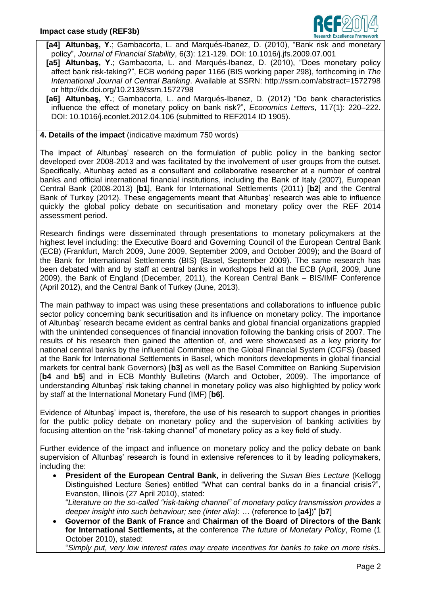

**[a4] Altunbaş, Y.**; Gambacorta, L. and Marqués-Ibanez, D. (2010), "Bank risk and monetary policy", *Journal of Financial Stability*, 6(3): 121-129. DOI: 10.1016/j.jfs.2009.07.001

- **[a5] Altunbaş, Y.**; Gambacorta, L. and Marqués-Ibanez, D. (2010), "Does monetary policy affect bank risk-taking?", ECB working paper 1166 (BIS working paper 298), forthcoming in *The International Journal of Central Banking*. Available at SSRN: http://ssrn.com/abstract=1572798 or http://dx.doi.org/10.2139/ssrn.1572798
- **[a6] Altunbaş, Y.**; Gambacorta, L. and Marqués-Ibanez, D. (2012) "Do bank characteristics influence the effect of monetary policy on bank risk?", *Economics Letters*, 117(1): 220–222. DOI: 10.1016/j.econlet.2012.04.106 (submitted to REF2014 ID 1905).

## **4. Details of the impact** (indicative maximum 750 words)

The impact of Altunbaş' research on the formulation of public policy in the banking sector developed over 2008-2013 and was facilitated by the involvement of user groups from the outset. Specifically, Altunbaş acted as a consultant and collaborative researcher at a number of central banks and official international financial institutions, including the Bank of Italy (2007), European Central Bank (2008-2013) [**b1**], Bank for International Settlements (2011) [**b2**] and the Central Bank of Turkey (2012). These engagements meant that Altunbaş' research was able to influence quickly the global policy debate on securitisation and monetary policy over the REF 2014 assessment period.

Research findings were disseminated through presentations to monetary policymakers at the highest level including: the Executive Board and Governing Council of the European Central Bank (ECB) (Frankfurt, March 2009, June 2009, September 2009, and October 2009); and the Board of the Bank for International Settlements (BIS) (Basel, September 2009). The same research has been debated with and by staff at central banks in workshops held at the ECB (April, 2009, June 2009), the Bank of England (December, 2011), the Korean Central Bank – BIS/IMF Conference (April 2012), and the Central Bank of Turkey (June, 2013).

The main pathway to impact was using these presentations and collaborations to influence public sector policy concerning bank securitisation and its influence on monetary policy. The importance of Altunbaş' research became evident as central banks and global financial organizations grappled with the unintended consequences of financial innovation following the banking crisis of 2007. The results of his research then gained the attention of, and were showcased as a key priority for national central banks by the influential Committee on the Global Financial System (CGFS) (based at the Bank for International Settlements in Basel, which monitors developments in global financial markets for central bank Governors) [**b3**] as well as the Basel Committee on Banking Supervision [**b4** and **b5**] and in ECB Monthly Bulletins (March and October, 2009). The importance of understanding Altunbaş' risk taking channel in monetary policy was also highlighted by policy work by staff at the International Monetary Fund (IMF) [**b6**].

Evidence of Altunbaş' impact is, therefore, the use of his research to support changes in priorities for the public policy debate on monetary policy and the supervision of banking activities by focusing attention on the "risk-taking channel" of monetary policy as a key field of study.

Further evidence of the impact and influence on monetary policy and the policy debate on bank supervision of Altunbas' research is found in extensive references to it by leading policymakers, including the:

 **President of the European Central Bank,** in delivering the *Susan Bies Lecture* (Kellogg Distinguished Lecture Series) entitled "What can central banks do in a financial crisis?", Evanston, Illinois (27 April 2010), stated:

"*Literature on the so-called "risk-taking channel" of monetary policy transmission provides a deeper insight into such behaviour; see (inter alia)*: … (reference to [**a4**])" [**b7**]

 **Governor of the Bank of France** and **Chairman of the Board of Directors of the Bank for International Settlements,** at the conference *The future of Monetary Policy*, Rome (1 October 2010), stated:

"*Simply put, very low interest rates may create incentives for banks to take on more risks.*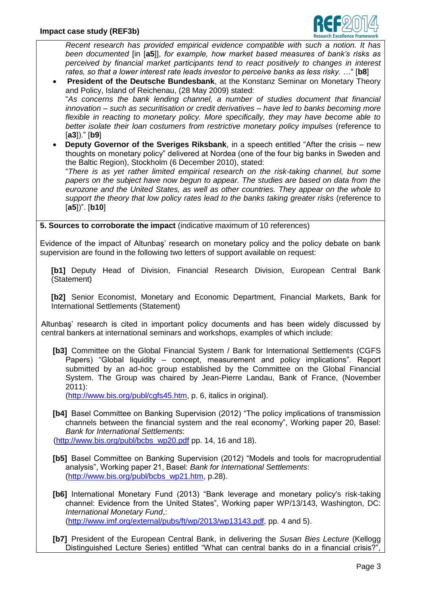

*Recent research has provided empirical evidence compatible with such a notion. It has been documented* [in [**a5**]], *for example, how market based measures of bank's risks as perceived by financial market participants tend to react positively to changes in interest rates, so that a lower interest rate leads investor to perceive banks as less risky. …*" [**b8**]

 **President of the Deutsche Bundesbank**, at the Konstanz Seminar on Monetary Theory and Policy, Island of Reichenau, (28 May 2009) stated:

"*As concerns the bank lending channel, a number of studies document that financial innovation – such as securitisation or credit derivatives – have led to banks becoming more flexible in reacting to monetary policy. More specifically, they may have become able to*  better isolate their loan costumers from restrictive monetary policy impulses (reference to [**a3**])." [**b9**]

 **Deputy Governor of the Sveriges Riksbank**, in a speech entitled "After the crisis – new thoughts on monetary policy" delivered at Nordea (one of the four big banks in Sweden and the Baltic Region), Stockholm (6 December 2010), stated:

"*There is as yet rather limited empirical research on the risk-taking channel, but some papers on the subject have now begun to appear. The studies are based on data from the eurozone and the United States, as well as other countries. They appear on the whole to support the theory that low policy rates lead to the banks taking greater risks* (reference to [**a5**])". [**b10**]

**5. Sources to corroborate the impact** (indicative maximum of 10 references)

Evidence of the impact of Altunbaş' research on monetary policy and the policy debate on bank supervision are found in the following two letters of support available on request:

**[b1]** Deputy Head of Division, Financial Research Division, European Central Bank (Statement)

**[b2]** Senior Economist, Monetary and Economic Department, Financial Markets, Bank for International Settlements (Statement)

Altunbaş' research is cited in important policy documents and has been widely discussed by central bankers at international seminars and workshops, examples of which include:

**[b3]** Committee on the Global Financial System / Bank for International Settlements (CGFS Papers) "Global liquidity – concept, measurement and policy implications". Report submitted by an ad-hoc group established by the Committee on the Global Financial System. The Group was chaired by Jean-Pierre Landau, Bank of France, (November 2011):

[\(http://www.bis.org/publ/cgfs45.htm,](http://www.bis.org/publ/cgfs45.htm) p. 6, italics in original).

**[b4]** Basel Committee on Banking Supervision (2012) "The policy implications of transmission channels between the financial system and the real economy", Working paper 20, Basel: *Bank for International Settlements*:

[\(http://www.bis.org/publ/bcbs\\_wp20.pdf](http://www.bis.org/publ/bcbs_wp20.pdf) pp. 14, 16 and 18).

- **[b5]** Basel Committee on Banking Supervision (2012) "Models and tools for macroprudential analysis", Working paper 21, Basel: *Bank for International Settlements*: [\(http://www.bis.org/publ/bcbs\\_wp21.htm,](http://www.bis.org/publ/bcbs_wp21.htm) p.28).
- **[b6]** International Monetary Fund (2013) "Bank leverage and monetary policy's risk-taking channel: Evidence from the United States", Working paper WP/13/143, Washington, DC: *International Monetary Fund*,: [\(http://www.imf.org/external/pubs/ft/wp/2013/wp13143.pdf,](http://www.imf.org/external/pubs/ft/wp/2013/wp13143.pdf) pp. 4 and 5).
- **[b7]** President of the European Central Bank, in delivering the *Susan Bies Lecture* (Kellogg Distinguished Lecture Series) entitled "What can central banks do in a financial crisis?"